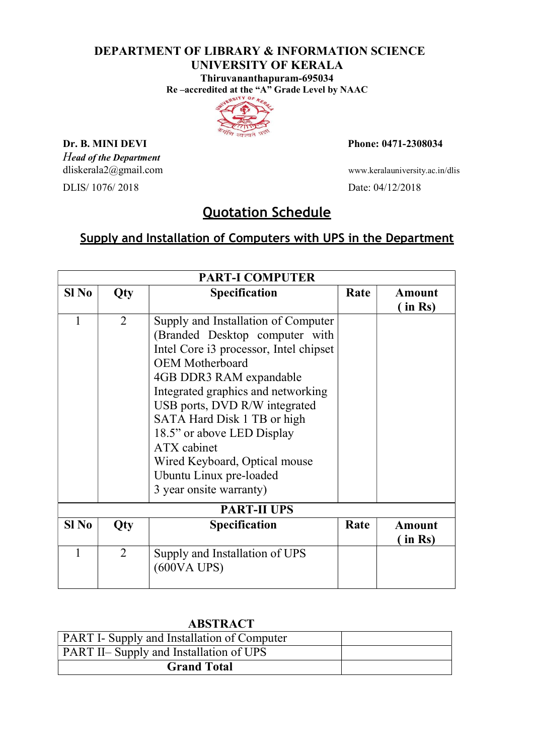#### DEPARTMENT OF LIBRARY & INFORMATION SCIENCE UNIVERSITY OF KERALA Thiruvananthapuram-695034

Re –accredited at the "A" Grade Level by NAAC



Head of the Department

DLIS/ 1076/ 2018 Date: 04/12/2018

**Dr. B. MINI DEVI** Phone: 0471-2308034

dliskerala2@gmail.com www.keralauniversity.ac.in/dlis

# Quotation Schedule

### Supply and Installation of Computers with UPS in the Department

| <b>PART-I COMPUTER</b> |                |                                        |      |               |  |
|------------------------|----------------|----------------------------------------|------|---------------|--|
| $SI$ No                | Qty            | <b>Specification</b>                   | Rate | <b>Amount</b> |  |
|                        |                |                                        |      | in Rs)        |  |
| 1                      | $\overline{2}$ | Supply and Installation of Computer    |      |               |  |
|                        |                | (Branded Desktop computer with         |      |               |  |
|                        |                | Intel Core i3 processor, Intel chipset |      |               |  |
|                        |                | <b>OEM</b> Motherboard                 |      |               |  |
|                        |                | 4GB DDR3 RAM expandable                |      |               |  |
|                        |                | Integrated graphics and networking     |      |               |  |
|                        |                | USB ports, DVD R/W integrated          |      |               |  |
|                        |                | SATA Hard Disk 1 TB or high            |      |               |  |
|                        |                | 18.5" or above LED Display             |      |               |  |
|                        |                | ATX cabinet                            |      |               |  |
|                        |                | Wired Keyboard, Optical mouse          |      |               |  |
|                        |                | Ubuntu Linux pre-loaded                |      |               |  |
|                        |                | 3 year onsite warranty)                |      |               |  |
| <b>PART-II UPS</b>     |                |                                        |      |               |  |
| $SI$ No                | Qty            | <b>Specification</b>                   | Rate | <b>Amount</b> |  |
|                        |                |                                        |      | in Rs)        |  |
| 1                      | $\overline{2}$ | Supply and Installation of UPS         |      |               |  |
|                        |                | (600VA UPS)                            |      |               |  |
|                        |                |                                        |      |               |  |

### ABSTRACT

| <b>PART I- Supply and Installation of Computer</b> |  |
|----------------------------------------------------|--|
| <b>PART II– Supply and Installation of UPS</b>     |  |
| <b>Grand Total</b>                                 |  |